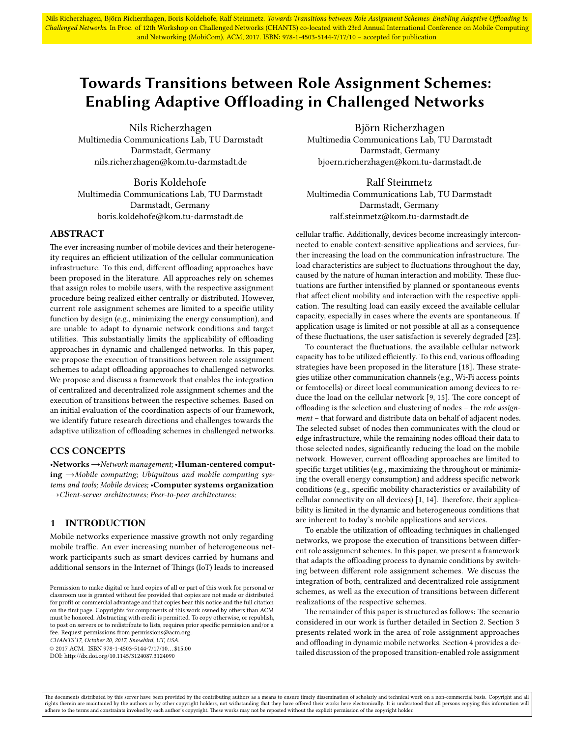Nils Richerzhagen, Björn Richerzhagen, Boris Koldehofe, Ralf Steinmetz. Towards Transitions between Role Assignment Schemes: Enabling Adaptive Offloading in Challenged Networks. In Proc. of 12th Workshop on Challenged Networks (CHANTS) co-located with 23rd Annual International Conference on Mobile Computing and Networking (MobiCom), ACM, 2017. ISBN: 978-1-4503-5144-7/17/10 – accepted for publication

# Towards Transitions between Role Assignment Schemes: Enabling Adaptive Offloading in Challenged Networks

Nils Richerzhagen Multimedia Communications Lab, TU Darmstadt Darmstadt, Germany nils.richerzhagen@kom.tu-darmstadt.de

Boris Koldehofe Multimedia Communications Lab, TU Darmstadt Darmstadt, Germany boris.koldehofe@kom.tu-darmstadt.de

## ABSTRACT

The ever increasing number of mobile devices and their heterogeneity requires an efficient utilization of the cellular communication infrastructure. To this end, different offloading approaches have been proposed in the literature. All approaches rely on schemes that assign roles to mobile users, with the respective assignment procedure being realized either centrally or distributed. However, current role assignment schemes are limited to a specific utility function by design (e.g., minimizing the energy consumption), and are unable to adapt to dynamic network conditions and target utilities. This substantially limits the applicability of offloading approaches in dynamic and challenged networks. In this paper, we propose the execution of transitions between role assignment schemes to adapt offloading approaches to challenged networks. We propose and discuss a framework that enables the integration of centralized and decentralized role assignment schemes and the execution of transitions between the respective schemes. Based on an initial evaluation of the coordination aspects of our framework, we identify future research directions and challenges towards the adaptive utilization of offloading schemes in challenged networks.

## CCS CONCEPTS

•Networks→Network management; •Human-centered comput $ing \rightarrow$ Mobile computing; Ubiquitous and mobile computing systems and tools; Mobile devices; •Computer systems organization →Client-server architectures; Peer-to-peer architectures;

## 1 INTRODUCTION

Mobile networks experience massive growth not only regarding mobile traffic. An ever increasing number of heterogeneous network participants such as smart devices carried by humans and additional sensors in the Internet of Things (IoT) leads to increased

CHANTS'17, October 20, 2017, Snowbird, UT, USA.

© 2017 ACM. ISBN 978-1-4503-5144-7/17/10. . . \$15.00

DOI: http://dx.doi.org/10.1145/3124087.3124090

Björn Richerzhagen Multimedia Communications Lab, TU Darmstadt Darmstadt, Germany bjoern.richerzhagen@kom.tu-darmstadt.de

Ralf Steinmetz Multimedia Communications Lab, TU Darmstadt Darmstadt, Germany ralf.steinmetz@kom.tu-darmstadt.de

cellular traffic. Additionally, devices become increasingly interconnected to enable context-sensitive applications and services, further increasing the load on the communication infrastructure. The load characteristics are subject to fluctuations throughout the day, caused by the nature of human interaction and mobility. These fluctuations are further intensified by planned or spontaneous events that affect client mobility and interaction with the respective application. The resulting load can easily exceed the available cellular capacity, especially in cases where the events are spontaneous. If application usage is limited or not possible at all as a consequence of these fluctuations, the user satisfaction is severely degraded [\[23\]](#page-5-0).

To counteract the fluctuations, the available cellular network capacity has to be utilized efficiently. To this end, various offloading strategies have been proposed in the literature [\[18\]](#page-5-1). These strategies utilize other communication channels (e.g., Wi-Fi access points or femtocells) or direct local communication among devices to reduce the load on the cellular network  $[9, 15]$  $[9, 15]$  $[9, 15]$ . The core concept of offloading is the selection and clustering of nodes  $-$  the *role assign*ment – that forward and distribute data on behalf of adjacent nodes. The selected subset of nodes then communicates with the cloud or edge infrastructure, while the remaining nodes offload their data to those selected nodes, significantly reducing the load on the mobile network. However, current offloading approaches are limited to specific target utilities (e.g., maximizing the throughout or minimizing the overall energy consumption) and address specific network conditions (e.g., specific mobility characteristics or availability of cellular connectivity on all devices) [\[1,](#page-5-4) [14\]](#page-5-5). Therefore, their applicability is limited in the dynamic and heterogeneous conditions that are inherent to today's mobile applications and services.

To enable the utilization of offloading techniques in challenged networks, we propose the execution of transitions between different role assignment schemes. In this paper, we present a framework that adapts the offloading process to dynamic conditions by switching between different role assignment schemes. We discuss the integration of both, centralized and decentralized role assignment schemes, as well as the execution of transitions between different realizations of the respective schemes.

The remainder of this paper is structured as follows: The scenario considered in our work is further detailed in Section [2.](#page-1-0) Section [3](#page-1-1) presents related work in the area of role assignment approaches and offloading in dynamic mobile networks. Section [4](#page-2-0) provides a detailed discussion of the proposed transition-enabled role assignment

The documents distributed by this server have been provided by the contributing authors as a means to ensure timely dissemination of scholarly and technical work on a non-commercial basis. Copyright and all rights therein are maintained by the authors or by other copyright holders, not withstanding that they have offered their works here electronically. It is understood that all persons copying this information will<br>adhere to

Permission to make digital or hard copies of all or part of this work for personal or classroom use is granted without fee provided that copies are not made or distributed for profit or commercial advantage and that copies bear this notice and the full citation on the first page. Copyrights for components of this work owned by others than  $\rm{ACM}$ must be honored. Abstracting with credit is permitted. To copy otherwise, or republish, to post on servers or to redistribute to lists, requires prior specific permission and/or a fee. Request permissions from permissions@acm.org.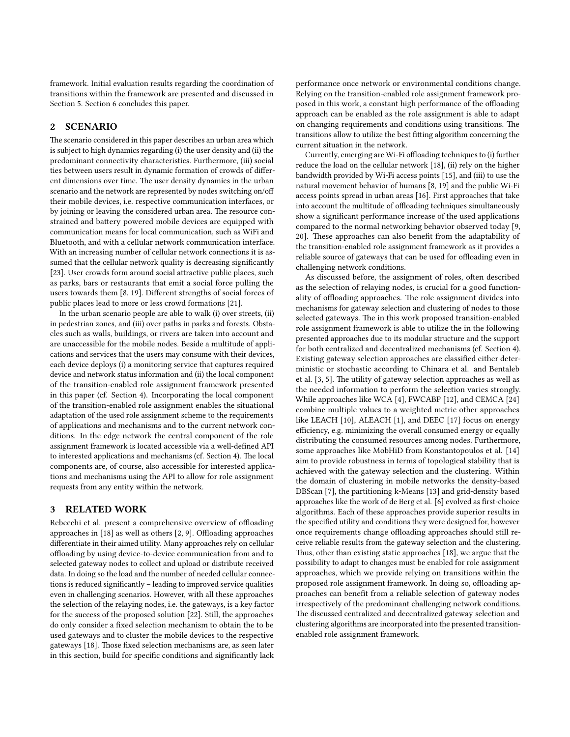framework. Initial evaluation results regarding the coordination of transitions within the framework are presented and discussed in Section [5.](#page-4-0) Section [6](#page-5-6) concludes this paper.

## <span id="page-1-0"></span>2 SCENARIO

The scenario considered in this paper describes an urban area which is subject to high dynamics regarding (i) the user density and (ii) the predominant connectivity characteristics. Furthermore, (iii) social ties between users result in dynamic formation of crowds of different dimensions over time. The user density dynamics in the urban scenario and the network are represented by nodes switching on/off their mobile devices, i.e. respective communication interfaces, or by joining or leaving the considered urban area. The resource constrained and battery powered mobile devices are equipped with communication means for local communication, such as WiFi and Bluetooth, and with a cellular network communication interface. With an increasing number of cellular network connections it is assumed that the cellular network quality is decreasing significantly [\[23\]](#page-5-0). User crowds form around social attractive public places, such as parks, bars or restaurants that emit a social force pulling the users towards them [\[8,](#page-5-7) [19\]](#page-5-8). Different strengths of social forces of public places lead to more or less crowd formations [\[21\]](#page-5-9).

In the urban scenario people are able to walk (i) over streets, (ii) in pedestrian zones, and (iii) over paths in parks and forests. Obstacles such as walls, buildings, or rivers are taken into account and are unaccessible for the mobile nodes. Beside a multitude of applications and services that the users may consume with their devices, each device deploys (i) a monitoring service that captures required device and network status information and (ii) the local component of the transition-enabled role assignment framework presented in this paper (cf. Section [4\)](#page-2-0). Incorporating the local component of the transition-enabled role assignment enables the situational adaptation of the used role assignment scheme to the requirements of applications and mechanisms and to the current network conditions. In the edge network the central component of the role assignment framework is located accessible via a well-defined API to interested applications and mechanisms (cf. Section [4\)](#page-2-0). The local components are, of course, also accessible for interested applications and mechanisms using the API to allow for role assignment requests from any entity within the network.

## <span id="page-1-1"></span>3 RELATED WORK

Rebecchi et al. present a comprehensive overview of offloading approaches in  $[18]$  as well as others  $[2, 9]$  $[2, 9]$  $[2, 9]$ . Offloading approaches differentiate in their aimed utility. Many approaches rely on cellular offloading by using device-to-device communication from and to selected gateway nodes to collect and upload or distribute received data. In doing so the load and the number of needed cellular connections is reduced significantly - leading to improved service qualities even in challenging scenarios. However, with all these approaches the selection of the relaying nodes, i.e. the gateways, is a key factor for the success of the proposed solution [\[22\]](#page-5-11). Still, the approaches do only consider a fixed selection mechanism to obtain the to be used gateways and to cluster the mobile devices to the respective gateways [\[18\]](#page-5-1). Those fixed selection mechanisms are, as seen later in this section, build for specific conditions and significantly lack

performance once network or environmental conditions change. Relying on the transition-enabled role assignment framework proposed in this work, a constant high performance of the offloading approach can be enabled as the role assignment is able to adapt on changing requirements and conditions using transitions. The transitions allow to utilize the best fitting algorithm concerning the current situation in the network.

Currently, emerging are Wi-Fi offloading techniques to (i) further reduce the load on the cellular network [\[18\]](#page-5-1), (ii) rely on the higher bandwidth provided by Wi-Fi access points [\[15\]](#page-5-3), and (iii) to use the natural movement behavior of humans [\[8,](#page-5-7) [19\]](#page-5-8) and the public Wi-Fi access points spread in urban areas [\[16\]](#page-5-12). First approaches that take into account the multitude of offloading techniques simultaneously show a significant performance increase of the used applications compared to the normal networking behavior observed today [\[9,](#page-5-2) [20\]](#page-5-13). These approaches can also benefit from the adaptability of the transition-enabled role assignment framework as it provides a reliable source of gateways that can be used for offloading even in challenging network conditions.

As discussed before, the assignment of roles, often described as the selection of relaying nodes, is crucial for a good functionality of offloading approaches. The role assignment divides into mechanisms for gateway selection and clustering of nodes to those selected gateways. The in this work proposed transition-enabled role assignment framework is able to utilize the in the following presented approaches due to its modular structure and the support for both centralized and decentralized mechanisms (cf. Section [4\)](#page-2-0). Existing gateway selection approaches are classified either deterministic or stochastic according to Chinara et al. and Bentaleb et al. [\[3,](#page-5-14) [5\]](#page-5-15). The utility of gateway selection approaches as well as the needed information to perform the selection varies strongly. While approaches like WCA [\[4\]](#page-5-16), FWCABP [\[12\]](#page-5-17), and CEMCA [\[24\]](#page-5-18) combine multiple values to a weighted metric other approaches like LEACH [\[10\]](#page-5-19), ALEACH [\[1\]](#page-5-4), and DEEC [\[17\]](#page-5-20) focus on energy efficiency, e.g. minimizing the overall consumed energy or equally distributing the consumed resources among nodes. Furthermore, some approaches like MobHiD from Konstantopoulos et al. [\[14\]](#page-5-5) aim to provide robustness in terms of topological stability that is achieved with the gateway selection and the clustering. Within the domain of clustering in mobile networks the density-based DBScan [\[7\]](#page-5-21), the partitioning k-Means [\[13\]](#page-5-22) and grid-density based approaches like the work of de Berg et al. [\[6\]](#page-5-23) evolved as first-choice algorithms. Each of these approaches provide superior results in the specified utility and conditions they were designed for, however once requirements change offloading approaches should still receive reliable results from the gateway selection and the clustering. Thus, other than existing static approaches [\[18\]](#page-5-1), we argue that the possibility to adapt to changes must be enabled for role assignment approaches, which we provide relying on transitions within the proposed role assignment framework. In doing so, offloading approaches can benefit from a reliable selection of gateway nodes irrespectively of the predominant challenging network conditions. The discussed centralized and decentralized gateway selection and clustering algorithms are incorporated into the presented transitionenabled role assignment framework.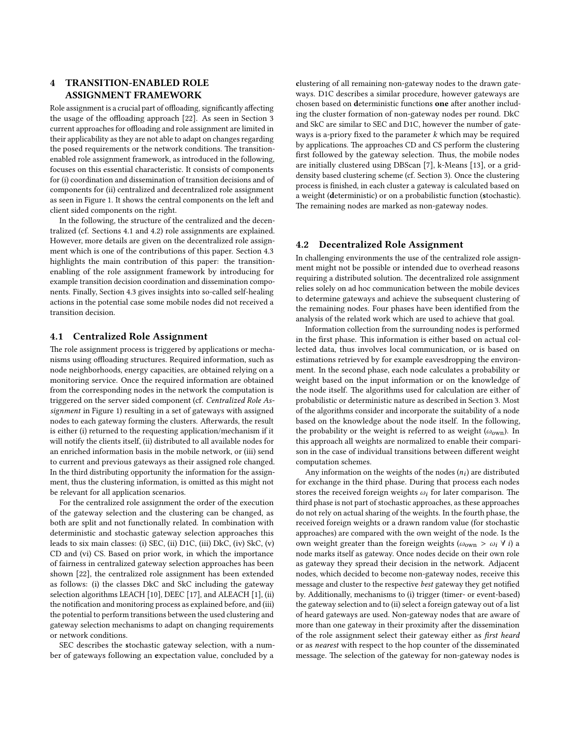# <span id="page-2-0"></span>4 TRANSITION-ENABLED ROLE ASSIGNMENT FRAMEWORK

Role assignment is a crucial part of offloading, significantly affecting the usage of the offloading approach [\[22\]](#page-5-11). As seen in Section [3](#page-1-1) current approaches for offloading and role assignment are limited in their applicability as they are not able to adapt on changes regarding the posed requirements or the network conditions. The transitionenabled role assignment framework, as introduced in the following, focuses on this essential characteristic. It consists of components for (i) coordination and dissemination of transition decisions and of components for (ii) centralized and decentralized role assignment as seen in Figure [1.](#page-3-0) It shows the central components on the left and client sided components on the right.

In the following, the structure of the centralized and the decentralized (cf. Sections [4.1](#page-2-1) and [4.2\)](#page-2-2) role assignments are explained. However, more details are given on the decentralized role assignment which is one of the contributions of this paper. Section [4.3](#page-3-1) highlights the main contribution of this paper: the transitionenabling of the role assignment framework by introducing for example transition decision coordination and dissemination components. Finally, Section [4.3](#page-3-1) gives insights into so-called self-healing actions in the potential case some mobile nodes did not received a transition decision.

## <span id="page-2-1"></span>4.1 Centralized Role Assignment

The role assignment process is triggered by applications or mechanisms using offloading structures. Required information, such as node neighborhoods, energy capacities, are obtained relying on a monitoring service. Once the required information are obtained from the corresponding nodes in the network the computation is triggered on the server sided component (cf. Centralized Role Assignment in Figure [1\)](#page-3-0) resulting in a set of gateways with assigned nodes to each gateway forming the clusters. Afterwards, the result is either (i) returned to the requesting application/mechanism if it will notify the clients itself, (ii) distributed to all available nodes for an enriched information basis in the mobile network, or (iii) send to current and previous gateways as their assigned role changed. In the third distributing opportunity the information for the assignment, thus the clustering information, is omitted as this might not be relevant for all application scenarios.

For the centralized role assignment the order of the execution of the gateway selection and the clustering can be changed, as both are split and not functionally related. In combination with deterministic and stochastic gateway selection approaches this leads to six main classes: (i) SEC, (ii) D1C, (iii) DkC, (iv) SkC, (v) CD and (vi) CS. Based on prior work, in which the importance of fairness in centralized gateway selection approaches has been shown [\[22\]](#page-5-11), the centralized role assignment has been extended as follows: (i) the classes DkC and SkC including the gateway selection algorithms LEACH [\[10\]](#page-5-19), DEEC [\[17\]](#page-5-20), and ALEACH [\[1\]](#page-5-4), (ii) the notification and monitoring process as explained before, and (iii) the potential to perform transitions between the used clustering and gateway selection mechanisms to adapt on changing requirements or network conditions.

SEC describes the stochastic gateway selection, with a number of gateways following an expectation value, concluded by a

clustering of all remaining non-gateway nodes to the drawn gateways. D1C describes a similar procedure, however gateways are chosen based on deterministic functions one after another including the cluster formation of non-gateway nodes per round. DkC and SkC are similar to SEC and D1C, however the number of gateways is a-priory fixed to the parameter  $k$  which may be required by applications. The approaches CD and CS perform the clustering first followed by the gateway selection. Thus, the mobile nodes are initially clustered using DBScan [\[7\]](#page-5-21), k-Means [\[13\]](#page-5-22), or a griddensity based clustering scheme (cf. Section [3\)](#page-1-1). Once the clustering process is finished, in each cluster a gateway is calculated based on a weight (deterministic) or on a probabilistic function (stochastic). The remaining nodes are marked as non-gateway nodes.

## <span id="page-2-2"></span>4.2 Decentralized Role Assignment

In challenging environments the use of the centralized role assignment might not be possible or intended due to overhead reasons requiring a distributed solution. The decentralized role assignment relies solely on ad hoc communication between the mobile devices to determine gateways and achieve the subsequent clustering of the remaining nodes. Four phases have been identified from the analysis of the related work which are used to achieve that goal.

Information collection from the surrounding nodes is performed in the first phase. This information is either based on actual collected data, thus involves local communication, or is based on estimations retrieved by for example eavesdropping the environment. In the second phase, each node calculates a probability or weight based on the input information or on the knowledge of the node itself. The algorithms used for calculation are either of probabilistic or deterministic nature as described in Section [3.](#page-1-1) Most of the algorithms consider and incorporate the suitability of a node based on the knowledge about the node itself. In the following, the probability or the weight is referred to as weight  $(\omega_{\text{own}})$ . In this approach all weights are normalized to enable their comparison in the case of individual transitions between different weight computation schemes.

Any information on the weights of the nodes  $(n<sub>i</sub>)$  are distributed for exchange in the third phase. During that process each nodes stores the received foreign weights  $\omega_i$  for later comparison. The third phase is not part of stochastic approaches, as these approaches do not rely on actual sharing of the weights. In the fourth phase, the received foreign weights or a drawn random value (for stochastic approaches) are compared with the own weight of the node. Is the own weight greater than the foreign weights ( $\omega_{\text{own}} > \omega_i \forall i$ ) a node marks itself as gateway. Once nodes decide on their own role as gateway they spread their decision in the network. Adjacent nodes, which decided to become non-gateway nodes, receive this message and cluster to the respective best gateway they get notified by. Additionally, mechanisms to (i) trigger (timer- or event-based) the gateway selection and to (ii) select a foreign gateway out of a list of heard gateways are used. Non-gateway nodes that are aware of more than one gateway in their proximity after the dissemination of the role assignment select their gateway either as first heard or as nearest with respect to the hop counter of the disseminated message. The selection of the gateway for non-gateway nodes is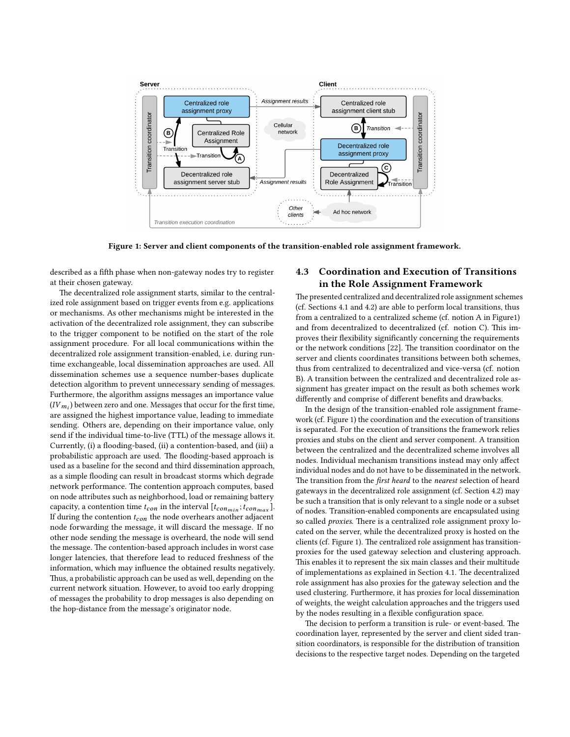<span id="page-3-0"></span>

Figure 1: Server and client components of the transition-enabled role assignment framework.

described as a fifth phase when non-gateway nodes try to register at their chosen gateway.

The decentralized role assignment starts, similar to the centralized role assignment based on trigger events from e.g. applications or mechanisms. As other mechanisms might be interested in the activation of the decentralized role assignment, they can subscribe to the trigger component to be notified on the start of the role assignment procedure. For all local communications within the decentralized role assignment transition-enabled, i.e. during runtime exchangeable, local dissemination approaches are used. All dissemination schemes use a sequence number-bases duplicate detection algorithm to prevent unnecessary sending of messages. Furthermore, the algorithm assigns messages an importance value  $\left( IV_{m_{i}}\right)$  between zero and one. Messages that occur for the first time, are assigned the highest importance value, leading to immediate sending. Others are, depending on their importance value, only send if the individual time-to-live (TTL) of the message allows it. Currently, (i) a flooding-based, (ii) a contention-based, and (iii) a probabilistic approach are used. The flooding-based approach is used as a baseline for the second and third dissemination approach, as a simple flooding can result in broadcast storms which degrade network performance. The contention approach computes, based on node attributes such as neighborhood, load or remaining battery capacity, a contention time  $t_{con}$  in the interval  $[t_{con_{min}}; t_{con_{max}}]$ . If during the contention  $t_{con}$  the node overhears another adjacent node forwarding the message, it will discard the message. If no other node sending the message is overheard, the node will send the message. The contention-based approach includes in worst case longer latencies, that therefore lead to reduced freshness of the information, which may influence the obtained results negatively. Thus, a probabilistic approach can be used as well, depending on the current network situation. However, to avoid too early dropping of messages the probability to drop messages is also depending on the hop-distance from the message's originator node.

## <span id="page-3-1"></span>4.3 Coordination and Execution of Transitions in the Role Assignment Framework

The presented centralized and decentralized role assignment schemes (cf. Sections [4.1](#page-2-1) and [4.2\)](#page-2-2) are able to perform local transitions, thus from a centralized to a centralized scheme (cf. notion A in Figur[e1\)](#page-3-0) and from decentralized to decentralized (cf. notion C). This improves their flexibility significantly concerning the requirements or the network conditions [\[22\]](#page-5-11). The transition coordinator on the server and clients coordinates transitions between both schemes, thus from centralized to decentralized and vice-versa (cf. notion B). A transition between the centralized and decentralized role assignment has greater impact on the result as both schemes work differently and comprise of different benefits and drawbacks.

In the design of the transition-enabled role assignment framework (cf. Figure [1\)](#page-3-0) the coordination and the execution of transitions is separated. For the execution of transitions the framework relies proxies and stubs on the client and server component. A transition between the centralized and the decentralized scheme involves all nodes. Individual mechanism transitions instead may only affect individual nodes and do not have to be disseminated in the network. The transition from the first heard to the nearest selection of heard gateways in the decentralized role assignment (cf. Section [4.2\)](#page-2-2) may be such a transition that is only relevant to a single node or a subset of nodes. Transition-enabled components are encapsulated using so called *proxies*. There is a centralized role assignment proxy located on the server, while the decentralized proxy is hosted on the clients (cf. Figure [1\)](#page-3-0). The centralized role assignment has transitionproxies for the used gateway selection and clustering approach. This enables it to represent the six main classes and their multitude of implementations as explained in Section [4.1.](#page-2-1) The decentralized role assignment has also proxies for the gateway selection and the used clustering. Furthermore, it has proxies for local dissemination of weights, the weight calculation approaches and the triggers used by the nodes resulting in a flexible configuration space.

The decision to perform a transition is rule- or event-based. The coordination layer, represented by the server and client sided transition coordinators, is responsible for the distribution of transition decisions to the respective target nodes. Depending on the targeted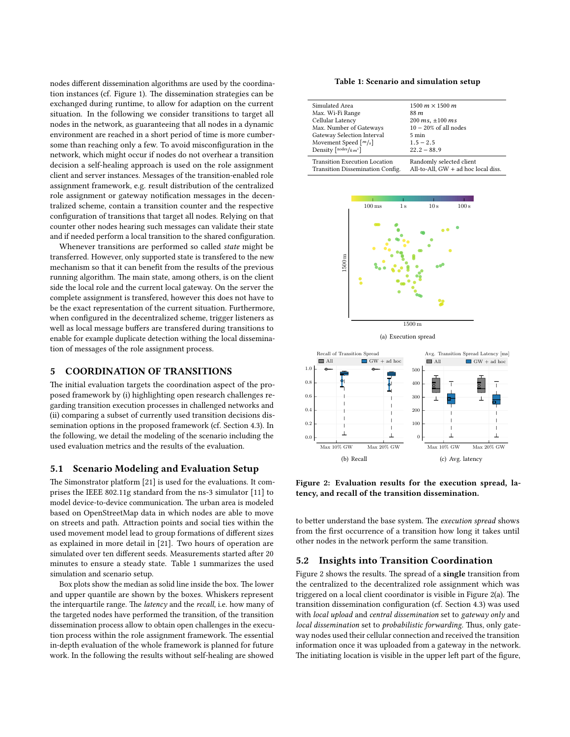nodes different dissemination algorithms are used by the coordina-tion instances (cf. Figure [1\)](#page-3-0). The dissemination strategies can be exchanged during runtime, to allow for adaption on the current situation. In the following we consider transitions to target all nodes in the network, as guaranteeing that all nodes in a dynamic environment are reached in a short period of time is more cumbersome than reaching only a few. To avoid misconfiguration in the network, which might occur if nodes do not overhear a transition decision a self-healing approach is used on the role assignment client and server instances. Messages of the transition-enabled role assignment framework, e.g. result distribution of the centralized role assignment or gateway notification messages in the decentralized scheme, contain a transition counter and the respective configuration of transitions that target all nodes. Relying on that counter other nodes hearing such messages can validate their state and if needed perform a local transition to the shared configuration.

Whenever transitions are performed so called state might be transferred. However, only supported state is transfered to the new mechanism so that it can benefit from the results of the previous running algorithm. The main state, among others, is on the client side the local role and the current local gateway. On the server the complete assignment is transfered, however this does not have to be the exact representation of the current situation. Furthermore, when configured in the decentralized scheme, trigger listeners as well as local message buffers are transfered during transitions to enable for example duplicate detection withing the local dissemination of messages of the role assignment process.

# <span id="page-4-0"></span>5 COORDINATION OF TRANSITIONS

The initial evaluation targets the coordination aspect of the proposed framework by (i) highlighting open research challenges regarding transition execution processes in challenged networks and (ii) comparing a subset of currently used transition decisions dissemination options in the proposed framework (cf. Section [4.3\)](#page-3-1). In the following, we detail the modeling of the scenario including the used evaluation metrics and the results of the evaluation.

#### 5.1 Scenario Modeling and Evaluation Setup

The Simonstrator platform [\[21\]](#page-5-9) is used for the evaluations. It comprises the IEEE 802.11g standard from the ns-3 simulator [\[11\]](#page-5-24) to model device-to-device communication. The urban area is modeled based on OpenStreetMap data in which nodes are able to move on streets and path. Attraction points and social ties within the used movement model lead to group formations of different sizes as explained in more detail in [\[21\]](#page-5-9). Two hours of operation are simulated over ten different seeds. Measurements started after 20 minutes to ensure a steady state. Table [1](#page-4-1) summarizes the used simulation and scenario setup.

Box plots show the median as solid line inside the box. The lower and upper quantile are shown by the boxes. Whiskers represent the interquartile range. The *latency* and the *recall*, i.e. how many of the targeted nodes have performed the transition, of the transition dissemination process allow to obtain open challenges in the execution process within the role assignment framework. The essential in-depth evaluation of the whole framework is planned for future work. In the following the results without self-healing are showed

#### Table 1: Scenario and simulation setup

<span id="page-4-1"></span>

| Simulated Area                                                           | 1500 $m \times 1500$ m                                            |
|--------------------------------------------------------------------------|-------------------------------------------------------------------|
| Max. Wi-Fi Range                                                         | 88 m                                                              |
| Cellular Latency                                                         | $200 \, ms, \pm 100 \, ms$                                        |
| Max. Number of Gateways                                                  | $10-20\%$ of all nodes                                            |
| Gateway Selection Interval                                               | $5 \text{ min}$                                                   |
| Movement Speed $\lceil m/s \rceil$                                       | $1.5 - 2.5$                                                       |
| Density $\lceil nodes/km^2 \rceil$                                       | $22.2 - 88.9$                                                     |
| <b>Transition Execution Location</b><br>Transition Dissemination Config. | Randomly selected client<br>All-to-All, $GW + ad$ hoc local diss. |

<span id="page-4-3"></span><span id="page-4-2"></span>

<span id="page-4-4"></span>

<span id="page-4-5"></span>

Figure 2: Evaluation results for the execution spread, latency, and recall of the transition dissemination.

to better understand the base system. The execution spread shows from the first occurrence of a transition how long it takes until other nodes in the network perform the same transition.

## 5.2 Insights into Transition Coordination

Figure [2](#page-4-2) shows the results. The spread of a single transition from the centralized to the decentralized role assignment which was triggered on a local client coordinator is visible in Figure [2\(a\).](#page-4-3) The transition dissemination configuration (cf. Section [4.3\)](#page-3-1) was used with local upload and central dissemination set to gateway only and local dissemination set to probabilistic forwarding. Thus, only gateway nodes used their cellular connection and received the transition information once it was uploaded from a gateway in the network. The initiating location is visible in the upper left part of the figure,